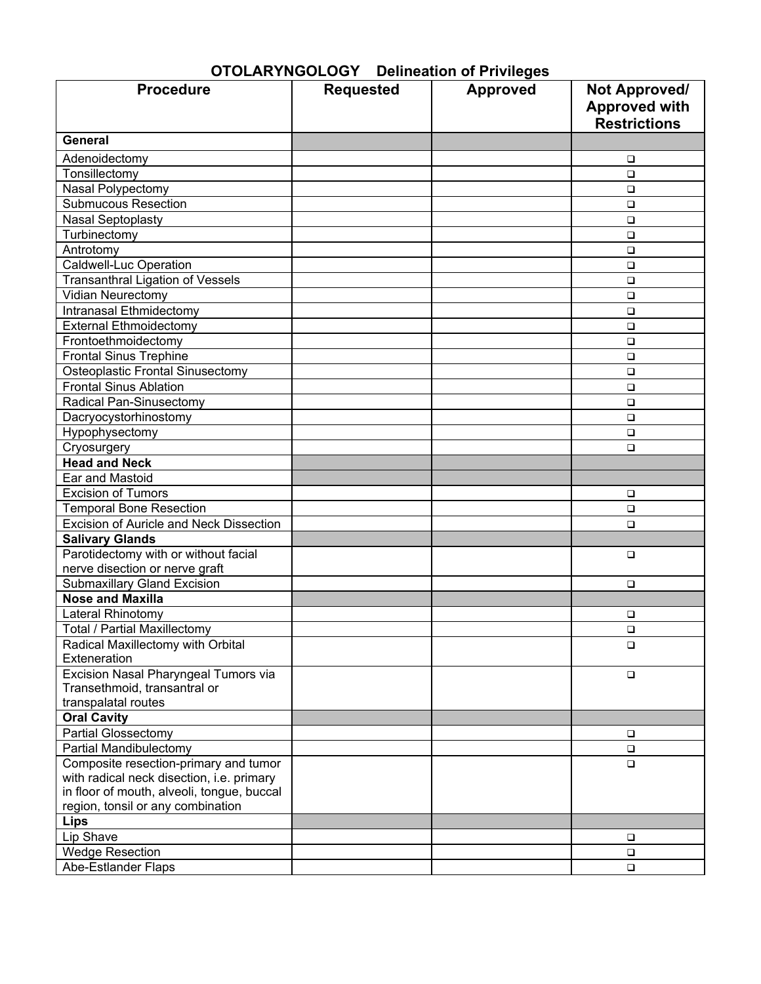| <b>Procedure</b>                                  | <b>Requested</b> | <b>Approved</b> | <b>Not Approved/</b>                        |
|---------------------------------------------------|------------------|-----------------|---------------------------------------------|
|                                                   |                  |                 | <b>Approved with</b><br><b>Restrictions</b> |
| General                                           |                  |                 |                                             |
| Adenoidectomy                                     |                  |                 | ❏                                           |
| Tonsillectomy                                     |                  |                 | $\Box$                                      |
| Nasal Polypectomy                                 |                  |                 | $\Box$                                      |
| <b>Submucous Resection</b>                        |                  |                 | $\Box$                                      |
| <b>Nasal Septoplasty</b>                          |                  |                 | $\Box$                                      |
| Turbinectomy                                      |                  |                 | $\Box$                                      |
| Antrotomy                                         |                  |                 | $\Box$                                      |
| <b>Caldwell-Luc Operation</b>                     |                  |                 | $\Box$                                      |
| <b>Transanthral Ligation of Vessels</b>           |                  |                 | $\Box$                                      |
| Vidian Neurectomy                                 |                  |                 | $\Box$                                      |
| Intranasal Ethmidectomy                           |                  |                 | □                                           |
| <b>External Ethmoidectomy</b>                     |                  |                 | □                                           |
| Frontoethmoidectomy                               |                  |                 | $\Box$                                      |
| <b>Frontal Sinus Trephine</b>                     |                  |                 | $\Box$                                      |
| Osteoplastic Frontal Sinusectomy                  |                  |                 | $\Box$                                      |
| <b>Frontal Sinus Ablation</b>                     |                  |                 | $\Box$                                      |
| Radical Pan-Sinusectomy                           |                  |                 | $\Box$                                      |
| Dacryocystorhinostomy                             |                  |                 | □                                           |
| Hypophysectomy                                    |                  |                 | □                                           |
| Cryosurgery                                       |                  |                 | $\Box$                                      |
| <b>Head and Neck</b>                              |                  |                 |                                             |
| Ear and Mastoid                                   |                  |                 |                                             |
| <b>Excision of Tumors</b>                         |                  |                 | $\Box$                                      |
| <b>Temporal Bone Resection</b>                    |                  |                 |                                             |
| Excision of Auricle and Neck Dissection           |                  |                 | □<br>$\Box$                                 |
| <b>Salivary Glands</b>                            |                  |                 |                                             |
| Parotidectomy with or without facial              |                  |                 | $\Box$                                      |
| nerve disection or nerve graft                    |                  |                 |                                             |
| <b>Submaxillary Gland Excision</b>                |                  |                 | $\Box$                                      |
| <b>Nose and Maxilla</b>                           |                  |                 |                                             |
| Lateral Rhinotomy                                 |                  |                 |                                             |
| <b>Total / Partial Maxillectomy</b>               |                  |                 | $\Box$<br>$\Box$                            |
|                                                   |                  |                 |                                             |
| Radical Maxillectomy with Orbital<br>Exteneration |                  |                 | $\Box$                                      |
| Excision Nasal Pharyngeal Tumors via              |                  |                 | $\Box$                                      |
| Transethmoid, transantral or                      |                  |                 |                                             |
| transpalatal routes                               |                  |                 |                                             |
| <b>Oral Cavity</b>                                |                  |                 |                                             |
| Partial Glossectomy                               |                  |                 | $\Box$                                      |
| Partial Mandibulectomy                            |                  |                 | $\Box$                                      |
| Composite resection-primary and tumor             |                  |                 | $\Box$                                      |
| with radical neck disection, i.e. primary         |                  |                 |                                             |
| in floor of mouth, alveoli, tongue, buccal        |                  |                 |                                             |
| region, tonsil or any combination                 |                  |                 |                                             |
| Lips                                              |                  |                 |                                             |
| Lip Shave                                         |                  |                 | $\Box$                                      |
| <b>Wedge Resection</b>                            |                  |                 | $\Box$                                      |
| Abe-Estlander Flaps                               |                  |                 | $\Box$                                      |

# **OTOLARYNGOLOGY Delineation of Privileges**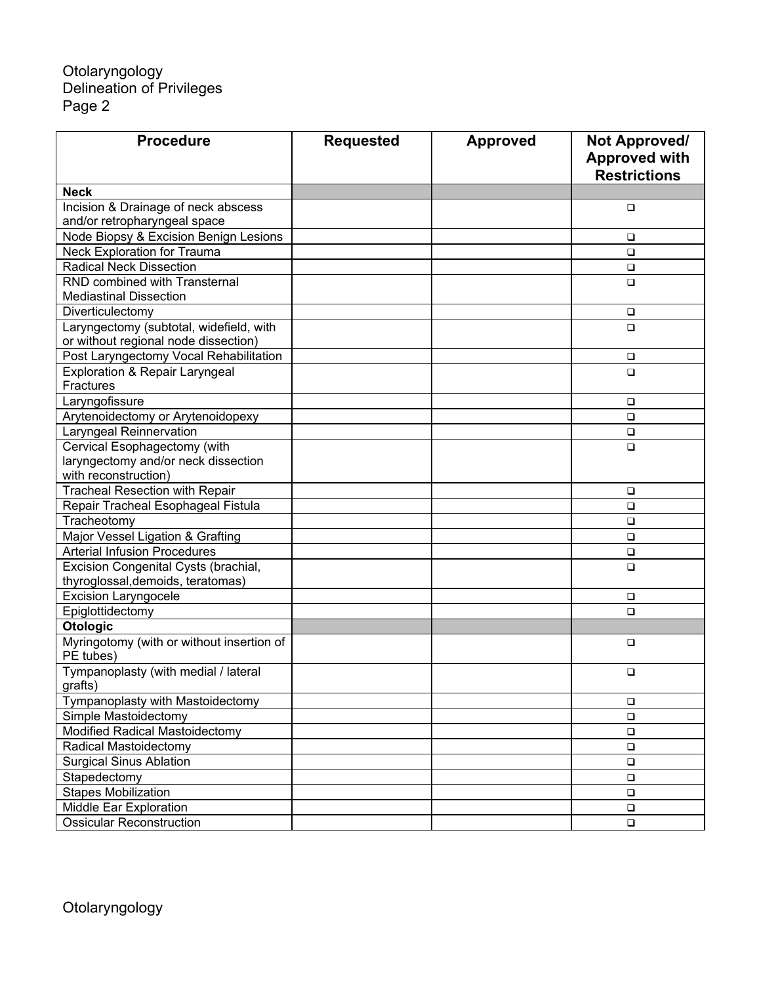## Otolaryngology Delineation of Privileges Page 2

| <b>Procedure</b>                                       | <b>Requested</b> | <b>Approved</b> | Not Approved/<br><b>Approved with</b><br><b>Restrictions</b> |
|--------------------------------------------------------|------------------|-----------------|--------------------------------------------------------------|
| <b>Neck</b>                                            |                  |                 |                                                              |
| Incision & Drainage of neck abscess                    |                  |                 | □                                                            |
| and/or retropharyngeal space                           |                  |                 |                                                              |
| Node Biopsy & Excision Benign Lesions                  |                  |                 | □                                                            |
| Neck Exploration for Trauma                            |                  |                 | □                                                            |
| <b>Radical Neck Dissection</b>                         |                  |                 | □                                                            |
| <b>RND combined with Transternal</b>                   |                  |                 | $\Box$                                                       |
| <b>Mediastinal Dissection</b>                          |                  |                 |                                                              |
| Diverticulectomy                                       |                  |                 | □                                                            |
| Laryngectomy (subtotal, widefield, with                |                  |                 | $\Box$                                                       |
| or without regional node dissection)                   |                  |                 |                                                              |
| Post Laryngectomy Vocal Rehabilitation                 |                  |                 | □                                                            |
| <b>Exploration &amp; Repair Laryngeal</b>              |                  |                 | $\Box$                                                       |
| Fractures                                              |                  |                 |                                                              |
| Laryngofissure                                         |                  |                 | □                                                            |
| Arytenoidectomy or Arytenoidopexy                      |                  |                 | $\Box$                                                       |
| Laryngeal Reinnervation                                |                  |                 | $\Box$                                                       |
| Cervical Esophagectomy (with                           |                  |                 | $\Box$                                                       |
| laryngectomy and/or neck dissection                    |                  |                 |                                                              |
| with reconstruction)                                   |                  |                 |                                                              |
| <b>Tracheal Resection with Repair</b>                  |                  |                 | $\Box$                                                       |
| Repair Tracheal Esophageal Fistula                     |                  |                 | $\Box$                                                       |
| Tracheotomy                                            |                  |                 | $\Box$                                                       |
| Major Vessel Ligation & Grafting                       |                  |                 | $\Box$                                                       |
| <b>Arterial Infusion Procedures</b>                    |                  |                 | $\Box$                                                       |
| Excision Congenital Cysts (brachial,                   |                  |                 | $\Box$                                                       |
| thyroglossal, demoids, teratomas)                      |                  |                 |                                                              |
| <b>Excision Laryngocele</b>                            |                  |                 | $\Box$                                                       |
| Epiglottidectomy                                       |                  |                 | □                                                            |
| <b>Otologic</b>                                        |                  |                 |                                                              |
| Myringotomy (with or without insertion of<br>PE tubes) |                  |                 | □                                                            |
| Tympanoplasty (with medial / lateral<br>grafts)        |                  |                 | $\Box$                                                       |
| Tympanoplasty with Mastoidectomy                       |                  |                 | □                                                            |
| Simple Mastoidectomy                                   |                  |                 | $\Box$                                                       |
| Modified Radical Mastoidectomy                         |                  |                 |                                                              |
| Radical Mastoidectomy                                  |                  |                 | $\Box$                                                       |
| <b>Surgical Sinus Ablation</b>                         |                  |                 | $\Box$                                                       |
| Stapedectomy                                           |                  |                 | $\Box$                                                       |
| <b>Stapes Mobilization</b>                             |                  |                 | $\Box$                                                       |
| Middle Ear Exploration                                 |                  |                 | $\Box$                                                       |
|                                                        |                  |                 | $\Box$                                                       |
| <b>Ossicular Reconstruction</b>                        |                  |                 | $\Box$                                                       |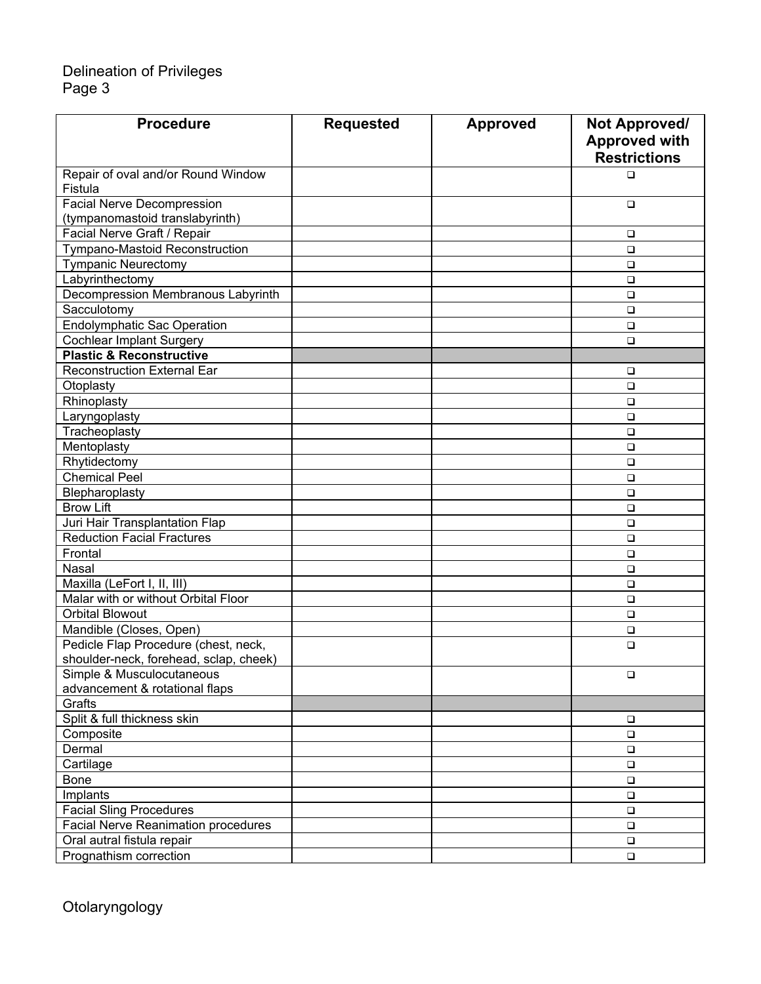## Delineation of Privileges Page 3

| <b>Procedure</b>                              | <b>Requested</b> | <b>Approved</b> | Not Approved/<br><b>Approved with</b> |
|-----------------------------------------------|------------------|-----------------|---------------------------------------|
|                                               |                  |                 | <b>Restrictions</b>                   |
| Repair of oval and/or Round Window<br>Fistula |                  |                 | $\Box$                                |
| <b>Facial Nerve Decompression</b>             |                  |                 | $\Box$                                |
| (tympanomastoid translabyrinth)               |                  |                 |                                       |
| Facial Nerve Graft / Repair                   |                  |                 | $\Box$                                |
| <b>Tympano-Mastoid Reconstruction</b>         |                  |                 | $\Box$                                |
| <b>Tympanic Neurectomy</b>                    |                  |                 | $\Box$                                |
| Labyrinthectomy                               |                  |                 | $\Box$                                |
| Decompression Membranous Labyrinth            |                  |                 | $\Box$                                |
| Sacculotomy                                   |                  |                 | $\Box$                                |
| <b>Endolymphatic Sac Operation</b>            |                  |                 | $\Box$                                |
| <b>Cochlear Implant Surgery</b>               |                  |                 | $\Box$                                |
| <b>Plastic &amp; Reconstructive</b>           |                  |                 |                                       |
| <b>Reconstruction External Ear</b>            |                  |                 | □                                     |
| Otoplasty                                     |                  |                 | $\Box$                                |
| Rhinoplasty                                   |                  |                 | $\Box$                                |
| Laryngoplasty                                 |                  |                 | $\Box$                                |
| Tracheoplasty                                 |                  |                 | $\Box$                                |
| Mentoplasty                                   |                  |                 | $\Box$                                |
| Rhytidectomy                                  |                  |                 | $\Box$                                |
| <b>Chemical Peel</b>                          |                  |                 | $\Box$                                |
| Blepharoplasty                                |                  |                 | $\Box$                                |
| <b>Brow Lift</b>                              |                  |                 | $\Box$                                |
| Juri Hair Transplantation Flap                |                  |                 | □                                     |
| <b>Reduction Facial Fractures</b>             |                  |                 | $\Box$                                |
| Frontal                                       |                  |                 | $\Box$                                |
| Nasal                                         |                  |                 | $\Box$                                |
| Maxilla (LeFort I, II, III)                   |                  |                 | $\Box$                                |
| Malar with or without Orbital Floor           |                  |                 | $\Box$                                |
| <b>Orbital Blowout</b>                        |                  |                 | $\Box$                                |
| Mandible (Closes, Open)                       |                  |                 | $\Box$                                |
| Pedicle Flap Procedure (chest, neck,          |                  |                 | $\Box$                                |
| shoulder-neck, forehead, sclap, cheek)        |                  |                 |                                       |
| Simple & Musculocutaneous                     |                  |                 | $\Box$                                |
| advancement & rotational flaps                |                  |                 |                                       |
| Grafts                                        |                  |                 |                                       |
| Split & full thickness skin                   |                  |                 | $\Box$                                |
| Composite                                     |                  |                 | $\Box$                                |
| Dermal                                        |                  |                 | $\Box$                                |
| Cartilage                                     |                  |                 | $\Box$                                |
| Bone                                          |                  |                 | $\Box$                                |
| Implants                                      |                  |                 | $\Box$                                |
| <b>Facial Sling Procedures</b>                |                  |                 | $\Box$                                |
| <b>Facial Nerve Reanimation procedures</b>    |                  |                 | $\Box$                                |
| Oral autral fistula repair                    |                  |                 | $\Box$                                |
| Prognathism correction                        |                  |                 | $\Box$                                |